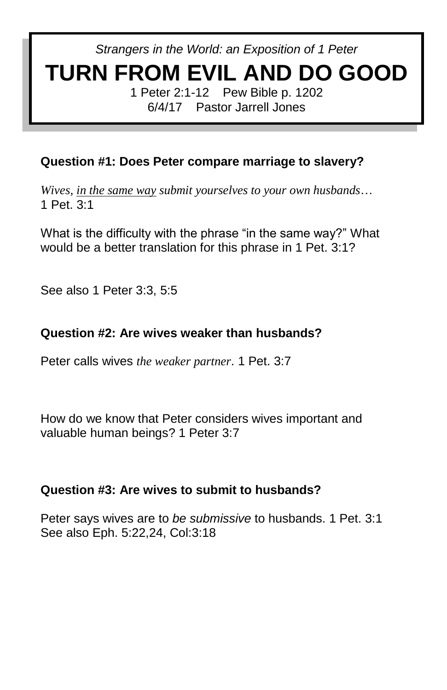*Strangers in the World: an Exposition of 1 Peter*

# **TURN FROM EVIL AND DO GOOD**

1 Peter 2:1-12 Pew Bible p. 1202 6/4/17 Pastor Jarrell Jones

## **Question #1: Does Peter compare marriage to slavery?**

*Wives, in the same way submit yourselves to your own husbands*… 1 Pet. 3:1

What is the difficulty with the phrase "in the same way?" What would be a better translation for this phrase in 1 Pet. 3:1?

See also 1 Peter 3:3, 5:5

## **Question #2: Are wives weaker than husbands?**

Peter calls wives *the weaker partner*. 1 Pet. 3:7

How do we know that Peter considers wives important and valuable human beings? 1 Peter 3:7

### **Question #3: Are wives to submit to husbands?**

Peter says wives are to *be submissive* to husbands. 1 Pet. 3:1 See also Eph. 5:22,24, Col:3:18